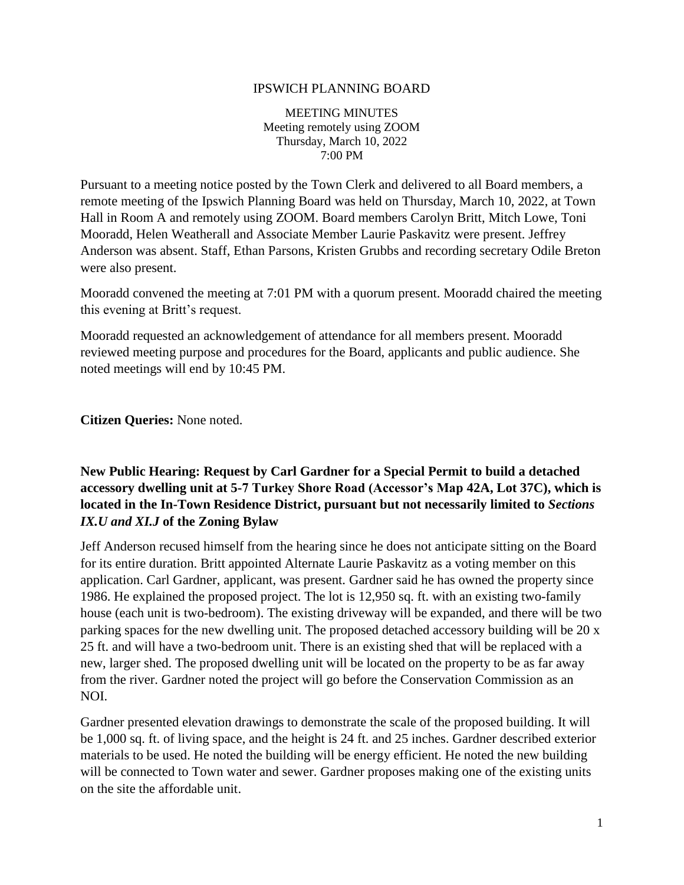#### IPSWICH PLANNING BOARD

MEETING MINUTES Meeting remotely using ZOOM Thursday, March 10, 2022 7:00 PM

Pursuant to a meeting notice posted by the Town Clerk and delivered to all Board members, a remote meeting of the Ipswich Planning Board was held on Thursday, March 10, 2022, at Town Hall in Room A and remotely using ZOOM. Board members Carolyn Britt, Mitch Lowe, Toni Mooradd, Helen Weatherall and Associate Member Laurie Paskavitz were present. Jeffrey Anderson was absent. Staff, Ethan Parsons, Kristen Grubbs and recording secretary Odile Breton were also present.

Mooradd convened the meeting at 7:01 PM with a quorum present. Mooradd chaired the meeting this evening at Britt's request.

Mooradd requested an acknowledgement of attendance for all members present. Mooradd reviewed meeting purpose and procedures for the Board, applicants and public audience. She noted meetings will end by 10:45 PM.

**Citizen Queries:** None noted.

### **New Public Hearing: Request by Carl Gardner for a Special Permit to build a detached accessory dwelling unit at 5-7 Turkey Shore Road (Accessor's Map 42A, Lot 37C), which is located in the In-Town Residence District, pursuant but not necessarily limited to** *Sections IX.U and XI.J* **of the Zoning Bylaw**

Jeff Anderson recused himself from the hearing since he does not anticipate sitting on the Board for its entire duration. Britt appointed Alternate Laurie Paskavitz as a voting member on this application. Carl Gardner, applicant, was present. Gardner said he has owned the property since 1986. He explained the proposed project. The lot is 12,950 sq. ft. with an existing two-family house (each unit is two-bedroom). The existing driveway will be expanded, and there will be two parking spaces for the new dwelling unit. The proposed detached accessory building will be 20 x 25 ft. and will have a two-bedroom unit. There is an existing shed that will be replaced with a new, larger shed. The proposed dwelling unit will be located on the property to be as far away from the river. Gardner noted the project will go before the Conservation Commission as an NOI.

Gardner presented elevation drawings to demonstrate the scale of the proposed building. It will be 1,000 sq. ft. of living space, and the height is 24 ft. and 25 inches. Gardner described exterior materials to be used. He noted the building will be energy efficient. He noted the new building will be connected to Town water and sewer. Gardner proposes making one of the existing units on the site the affordable unit.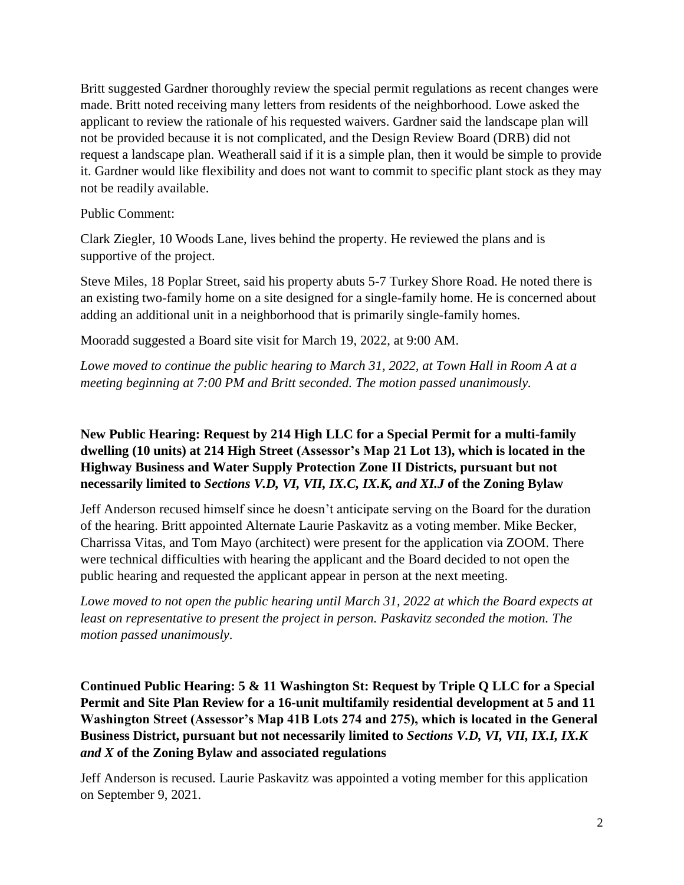Britt suggested Gardner thoroughly review the special permit regulations as recent changes were made. Britt noted receiving many letters from residents of the neighborhood. Lowe asked the applicant to review the rationale of his requested waivers. Gardner said the landscape plan will not be provided because it is not complicated, and the Design Review Board (DRB) did not request a landscape plan. Weatherall said if it is a simple plan, then it would be simple to provide it. Gardner would like flexibility and does not want to commit to specific plant stock as they may not be readily available.

Public Comment:

Clark Ziegler, 10 Woods Lane, lives behind the property. He reviewed the plans and is supportive of the project.

Steve Miles, 18 Poplar Street, said his property abuts 5-7 Turkey Shore Road. He noted there is an existing two-family home on a site designed for a single-family home. He is concerned about adding an additional unit in a neighborhood that is primarily single-family homes.

Mooradd suggested a Board site visit for March 19, 2022, at 9:00 AM.

*Lowe moved to continue the public hearing to March 31, 2022, at Town Hall in Room A at a meeting beginning at 7:00 PM and Britt seconded. The motion passed unanimously.*

# **New Public Hearing: Request by 214 High LLC for a Special Permit for a multi-family dwelling (10 units) at 214 High Street (Assessor's Map 21 Lot 13), which is located in the Highway Business and Water Supply Protection Zone II Districts, pursuant but not necessarily limited to** *Sections V.D, VI, VII, IX.C, IX.K, and XI.J* **of the Zoning Bylaw**

Jeff Anderson recused himself since he doesn't anticipate serving on the Board for the duration of the hearing. Britt appointed Alternate Laurie Paskavitz as a voting member. Mike Becker, Charrissa Vitas, and Tom Mayo (architect) were present for the application via ZOOM. There were technical difficulties with hearing the applicant and the Board decided to not open the public hearing and requested the applicant appear in person at the next meeting.

*Lowe moved to not open the public hearing until March 31, 2022 at which the Board expects at least on representative to present the project in person. Paskavitz seconded the motion. The motion passed unanimously*.

**Continued Public Hearing: 5 & 11 Washington St: Request by Triple Q LLC for a Special Permit and Site Plan Review for a 16-unit multifamily residential development at 5 and 11 Washington Street (Assessor's Map 41B Lots 274 and 275), which is located in the General Business District, pursuant but not necessarily limited to** *Sections V.D, VI, VII, IX.I, IX.K and X* **of the Zoning Bylaw and associated regulations**

Jeff Anderson is recused. Laurie Paskavitz was appointed a voting member for this application on September 9, 2021.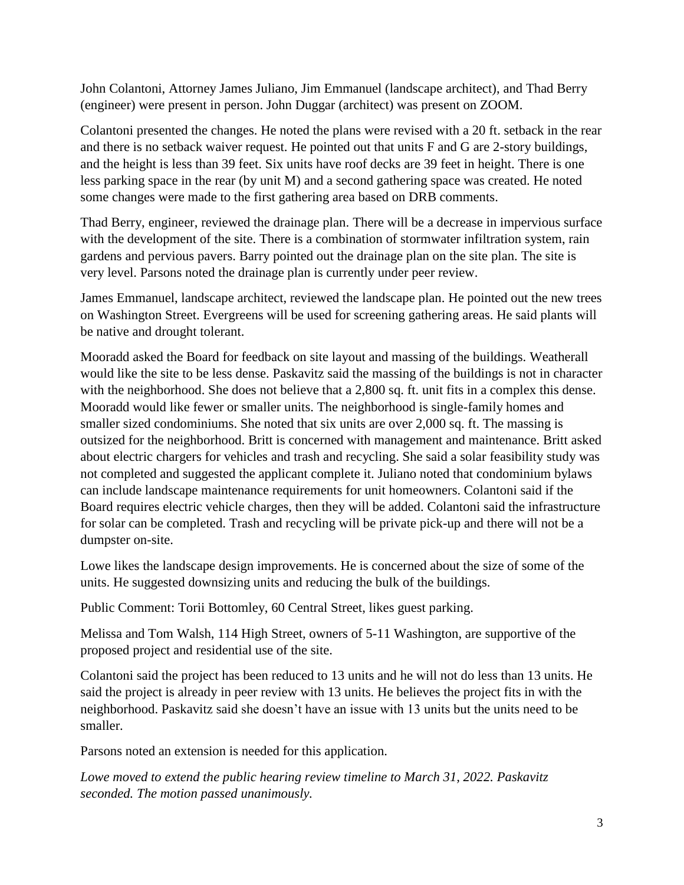John Colantoni, Attorney James Juliano, Jim Emmanuel (landscape architect), and Thad Berry (engineer) were present in person. John Duggar (architect) was present on ZOOM.

Colantoni presented the changes. He noted the plans were revised with a 20 ft. setback in the rear and there is no setback waiver request. He pointed out that units F and G are 2-story buildings, and the height is less than 39 feet. Six units have roof decks are 39 feet in height. There is one less parking space in the rear (by unit M) and a second gathering space was created. He noted some changes were made to the first gathering area based on DRB comments.

Thad Berry, engineer, reviewed the drainage plan. There will be a decrease in impervious surface with the development of the site. There is a combination of stormwater infiltration system, rain gardens and pervious pavers. Barry pointed out the drainage plan on the site plan. The site is very level. Parsons noted the drainage plan is currently under peer review.

James Emmanuel, landscape architect, reviewed the landscape plan. He pointed out the new trees on Washington Street. Evergreens will be used for screening gathering areas. He said plants will be native and drought tolerant.

Mooradd asked the Board for feedback on site layout and massing of the buildings. Weatherall would like the site to be less dense. Paskavitz said the massing of the buildings is not in character with the neighborhood. She does not believe that a 2,800 sq. ft. unit fits in a complex this dense. Mooradd would like fewer or smaller units. The neighborhood is single-family homes and smaller sized condominiums. She noted that six units are over 2,000 sq. ft. The massing is outsized for the neighborhood. Britt is concerned with management and maintenance. Britt asked about electric chargers for vehicles and trash and recycling. She said a solar feasibility study was not completed and suggested the applicant complete it. Juliano noted that condominium bylaws can include landscape maintenance requirements for unit homeowners. Colantoni said if the Board requires electric vehicle charges, then they will be added. Colantoni said the infrastructure for solar can be completed. Trash and recycling will be private pick-up and there will not be a dumpster on-site.

Lowe likes the landscape design improvements. He is concerned about the size of some of the units. He suggested downsizing units and reducing the bulk of the buildings.

Public Comment: Torii Bottomley, 60 Central Street, likes guest parking.

Melissa and Tom Walsh, 114 High Street, owners of 5-11 Washington, are supportive of the proposed project and residential use of the site.

Colantoni said the project has been reduced to 13 units and he will not do less than 13 units. He said the project is already in peer review with 13 units. He believes the project fits in with the neighborhood. Paskavitz said she doesn't have an issue with 13 units but the units need to be smaller.

Parsons noted an extension is needed for this application.

*Lowe moved to extend the public hearing review timeline to March 31, 2022. Paskavitz seconded. The motion passed unanimously.*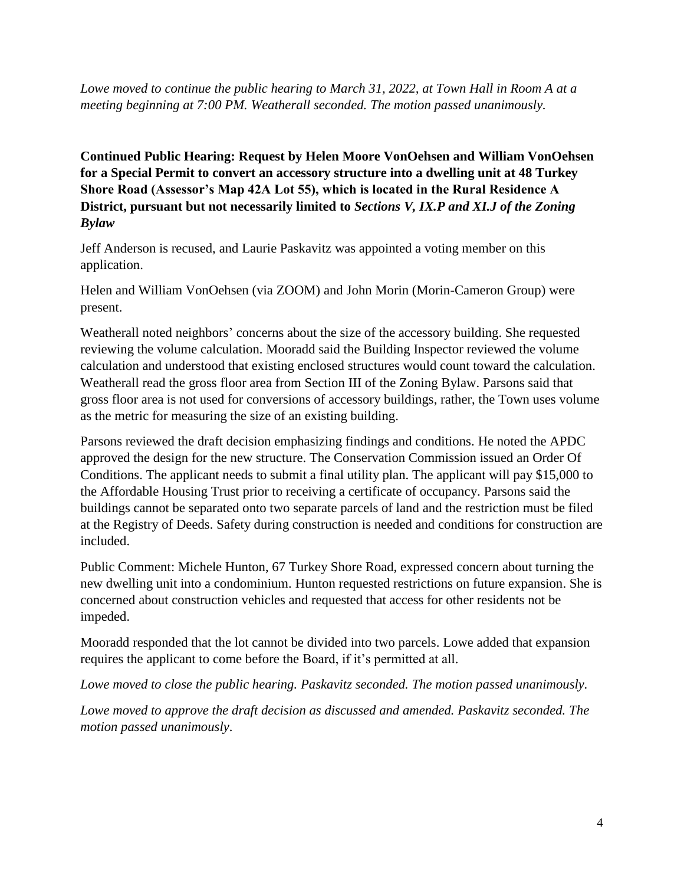*Lowe moved to continue the public hearing to March 31, 2022, at Town Hall in Room A at a meeting beginning at 7:00 PM. Weatherall seconded. The motion passed unanimously.*

**Continued Public Hearing: Request by Helen Moore VonOehsen and William VonOehsen for a Special Permit to convert an accessory structure into a dwelling unit at 48 Turkey Shore Road (Assessor's Map 42A Lot 55), which is located in the Rural Residence A District, pursuant but not necessarily limited to** *Sections V, IX.P and XI.J of the Zoning Bylaw*

Jeff Anderson is recused, and Laurie Paskavitz was appointed a voting member on this application.

Helen and William VonOehsen (via ZOOM) and John Morin (Morin-Cameron Group) were present.

Weatherall noted neighbors' concerns about the size of the accessory building. She requested reviewing the volume calculation. Mooradd said the Building Inspector reviewed the volume calculation and understood that existing enclosed structures would count toward the calculation. Weatherall read the gross floor area from Section III of the Zoning Bylaw. Parsons said that gross floor area is not used for conversions of accessory buildings, rather, the Town uses volume as the metric for measuring the size of an existing building.

Parsons reviewed the draft decision emphasizing findings and conditions. He noted the APDC approved the design for the new structure. The Conservation Commission issued an Order Of Conditions. The applicant needs to submit a final utility plan. The applicant will pay \$15,000 to the Affordable Housing Trust prior to receiving a certificate of occupancy. Parsons said the buildings cannot be separated onto two separate parcels of land and the restriction must be filed at the Registry of Deeds. Safety during construction is needed and conditions for construction are included.

Public Comment: Michele Hunton, 67 Turkey Shore Road, expressed concern about turning the new dwelling unit into a condominium. Hunton requested restrictions on future expansion. She is concerned about construction vehicles and requested that access for other residents not be impeded.

Mooradd responded that the lot cannot be divided into two parcels. Lowe added that expansion requires the applicant to come before the Board, if it's permitted at all.

*Lowe moved to close the public hearing. Paskavitz seconded. The motion passed unanimously.*

*Lowe moved to approve the draft decision as discussed and amended. Paskavitz seconded. The motion passed unanimously*.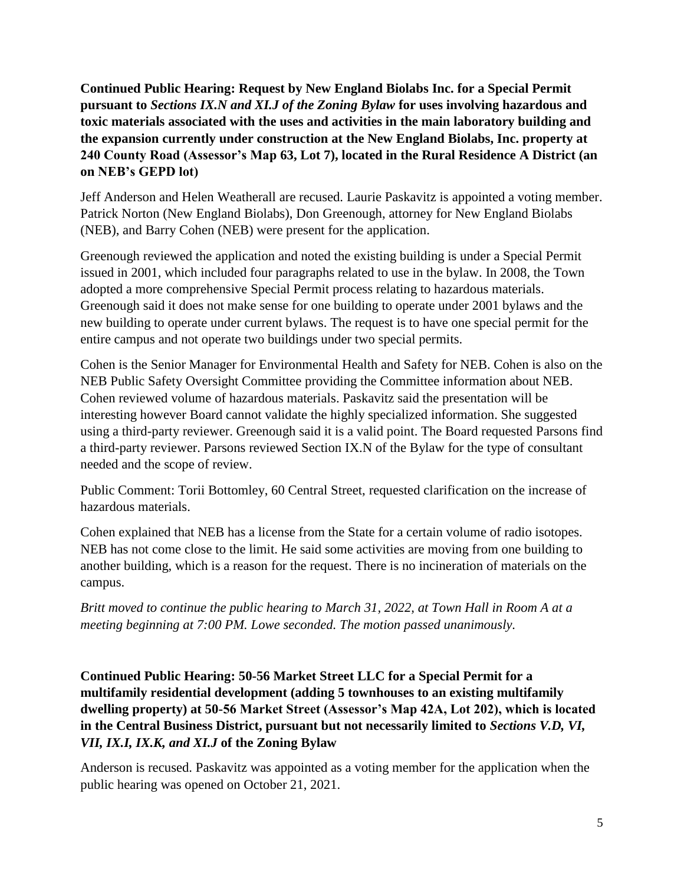**Continued Public Hearing: Request by New England Biolabs Inc. for a Special Permit pursuant to** *Sections IX.N and XI.J of the Zoning Bylaw* **for uses involving hazardous and toxic materials associated with the uses and activities in the main laboratory building and the expansion currently under construction at the New England Biolabs, Inc. property at 240 County Road (Assessor's Map 63, Lot 7), located in the Rural Residence A District (an on NEB's GEPD lot)**

Jeff Anderson and Helen Weatherall are recused. Laurie Paskavitz is appointed a voting member. Patrick Norton (New England Biolabs), Don Greenough, attorney for New England Biolabs (NEB), and Barry Cohen (NEB) were present for the application.

Greenough reviewed the application and noted the existing building is under a Special Permit issued in 2001, which included four paragraphs related to use in the bylaw. In 2008, the Town adopted a more comprehensive Special Permit process relating to hazardous materials. Greenough said it does not make sense for one building to operate under 2001 bylaws and the new building to operate under current bylaws. The request is to have one special permit for the entire campus and not operate two buildings under two special permits.

Cohen is the Senior Manager for Environmental Health and Safety for NEB. Cohen is also on the NEB Public Safety Oversight Committee providing the Committee information about NEB. Cohen reviewed volume of hazardous materials. Paskavitz said the presentation will be interesting however Board cannot validate the highly specialized information. She suggested using a third-party reviewer. Greenough said it is a valid point. The Board requested Parsons find a third-party reviewer. Parsons reviewed Section IX.N of the Bylaw for the type of consultant needed and the scope of review.

Public Comment: Torii Bottomley, 60 Central Street, requested clarification on the increase of hazardous materials.

Cohen explained that NEB has a license from the State for a certain volume of radio isotopes. NEB has not come close to the limit. He said some activities are moving from one building to another building, which is a reason for the request. There is no incineration of materials on the campus.

*Britt moved to continue the public hearing to March 31, 2022, at Town Hall in Room A at a meeting beginning at 7:00 PM. Lowe seconded. The motion passed unanimously.*

**Continued Public Hearing: 50-56 Market Street LLC for a Special Permit for a multifamily residential development (adding 5 townhouses to an existing multifamily dwelling property) at 50-56 Market Street (Assessor's Map 42A, Lot 202), which is located in the Central Business District, pursuant but not necessarily limited to** *Sections V.D, VI, VII, IX.I, IX.K, and XI.J* **of the Zoning Bylaw**

Anderson is recused. Paskavitz was appointed as a voting member for the application when the public hearing was opened on October 21, 2021.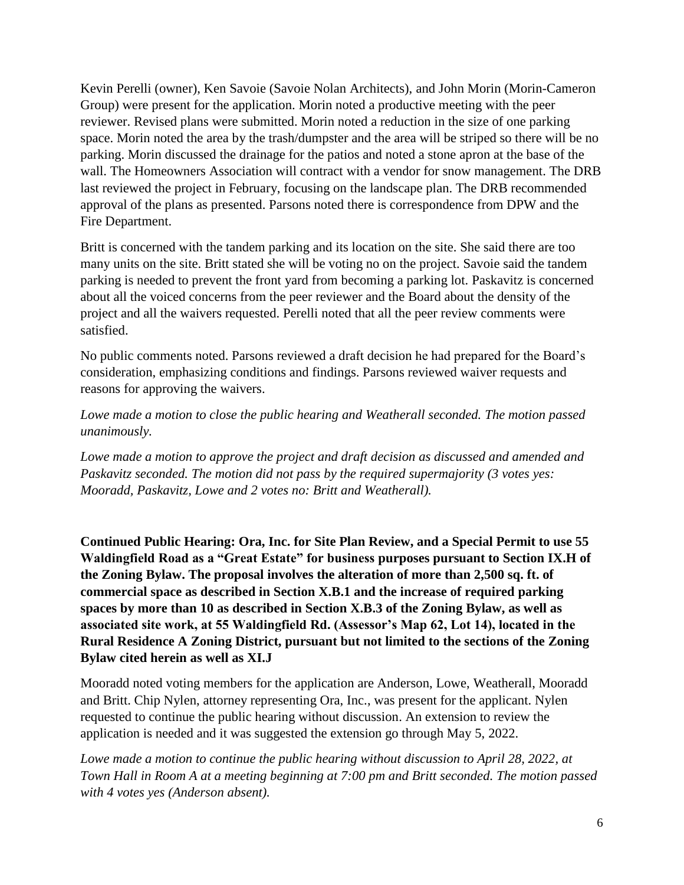Kevin Perelli (owner), Ken Savoie (Savoie Nolan Architects), and John Morin (Morin-Cameron Group) were present for the application. Morin noted a productive meeting with the peer reviewer. Revised plans were submitted. Morin noted a reduction in the size of one parking space. Morin noted the area by the trash/dumpster and the area will be striped so there will be no parking. Morin discussed the drainage for the patios and noted a stone apron at the base of the wall. The Homeowners Association will contract with a vendor for snow management. The DRB last reviewed the project in February, focusing on the landscape plan. The DRB recommended approval of the plans as presented. Parsons noted there is correspondence from DPW and the Fire Department.

Britt is concerned with the tandem parking and its location on the site. She said there are too many units on the site. Britt stated she will be voting no on the project. Savoie said the tandem parking is needed to prevent the front yard from becoming a parking lot. Paskavitz is concerned about all the voiced concerns from the peer reviewer and the Board about the density of the project and all the waivers requested. Perelli noted that all the peer review comments were satisfied.

No public comments noted. Parsons reviewed a draft decision he had prepared for the Board's consideration, emphasizing conditions and findings. Parsons reviewed waiver requests and reasons for approving the waivers.

*Lowe made a motion to close the public hearing and Weatherall seconded. The motion passed unanimously.*

*Lowe made a motion to approve the project and draft decision as discussed and amended and Paskavitz seconded. The motion did not pass by the required supermajority (3 votes yes: Mooradd, Paskavitz, Lowe and 2 votes no: Britt and Weatherall).*

**Continued Public Hearing: Ora, Inc. for Site Plan Review, and a Special Permit to use 55 Waldingfield Road as a "Great Estate" for business purposes pursuant to Section IX.H of the Zoning Bylaw. The proposal involves the alteration of more than 2,500 sq. ft. of commercial space as described in Section X.B.1 and the increase of required parking spaces by more than 10 as described in Section X.B.3 of the Zoning Bylaw, as well as associated site work, at 55 Waldingfield Rd. (Assessor's Map 62, Lot 14), located in the Rural Residence A Zoning District, pursuant but not limited to the sections of the Zoning Bylaw cited herein as well as XI.J**

Mooradd noted voting members for the application are Anderson, Lowe, Weatherall, Mooradd and Britt. Chip Nylen, attorney representing Ora, Inc., was present for the applicant. Nylen requested to continue the public hearing without discussion. An extension to review the application is needed and it was suggested the extension go through May 5, 2022.

Lowe made a motion to continue the public hearing without discussion to April 28, 2022, at *Town Hall in Room A at a meeting beginning at 7:00 pm and Britt seconded. The motion passed with 4 votes yes (Anderson absent).*